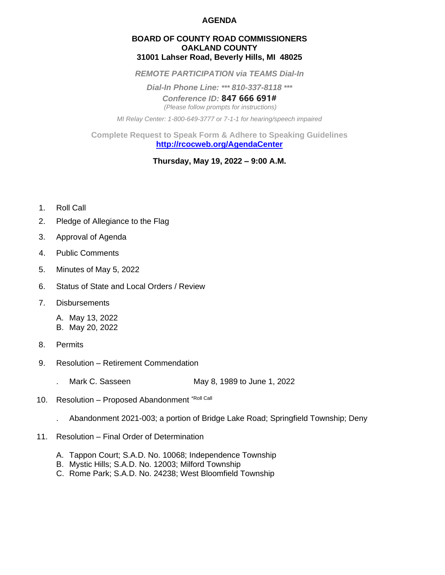### **AGENDA**

#### **BOARD OF COUNTY ROAD COMMISSIONERS OAKLAND COUNTY 31001 Lahser Road, Beverly Hills, MI 48025**

*REMOTE PARTICIPATION via TEAMS Dial-In*

*Dial-In Phone Line: \*\*\* 810-337-8118 \*\*\**

*Conference ID:* **847 666 691#** *(Please follow prompts for instructions)*

*MI Relay Center: 1-800-649-3777 or 7-1-1 for hearing/speech impaired*

**Complete Request to Speak Form & Adhere to Speaking Guidelines <http://rcocweb.org/AgendaCenter>**

### **Thursday, May 19, 2022 – 9:00 A.M.**

- 1. Roll Call
- 2. Pledge of Allegiance to the Flag
- 3. Approval of Agenda
- 4. Public Comments
- 5. Minutes of May 5, 2022
- 6. Status of State and Local Orders / Review
- 7. Disbursements
	- A. May 13, 2022
	- B. May 20, 2022
- 8. Permits
- 9. Resolution Retirement Commendation
	- . Mark C. Sasseen May 8, 1989 to June 1, 2022
- 10. Resolution Proposed Abandonment \*Roll Call
	- . Abandonment 2021-003; a portion of Bridge Lake Road; Springfield Township; Deny
- 11. Resolution Final Order of Determination
	- A. Tappon Court; S.A.D. No. 10068; Independence Township
	- B. Mystic Hills; S.A.D. No. 12003; Milford Township
	- C. Rome Park; S.A.D. No. 24238; West Bloomfield Township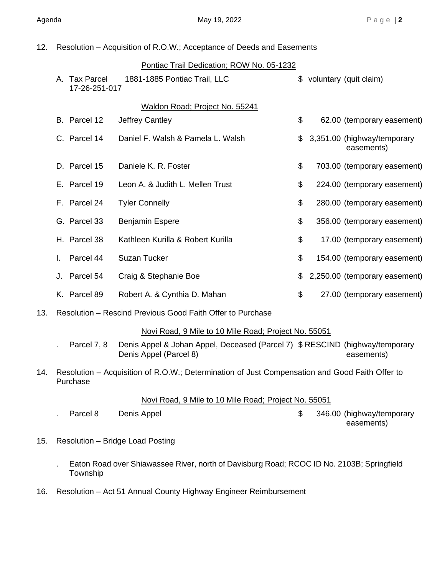12. Resolution – Acquisition of R.O.W.; Acceptance of Deeds and Easements

| Pontiac Trail Dedication; ROW No. 05-1232 |  |  |  |  |  |  |
|-------------------------------------------|--|--|--|--|--|--|
|-------------------------------------------|--|--|--|--|--|--|

| A. Tax Parcel<br>17-26-251-017 | 1881-1885 Pontiac Trail, LLC           | \$ voluntary (quit claim)                       |
|--------------------------------|----------------------------------------|-------------------------------------------------|
|                                | <b>Waldon Road</b> ; Project No. 55241 |                                                 |
| B. Parcel 12                   | Jeffrey Cantley                        | \$<br>62.00 (temporary easement)                |
| C. Parcel 14                   | Daniel F. Walsh & Pamela L. Walsh      | \$<br>3,351.00 (highway/temporary<br>easements) |
| D. Parcel 15                   | Daniele K. R. Foster                   | \$<br>703.00 (temporary easement)               |
| E. Parcel 19                   | Leon A. & Judith L. Mellen Trust       | \$<br>224.00 (temporary easement)               |
| F. Parcel 24                   | <b>Tyler Connelly</b>                  | \$<br>280.00 (temporary easement)               |
| G. Parcel 33                   | <b>Benjamin Espere</b>                 | \$<br>356.00 (temporary easement)               |
| H. Parcel 38                   | Kathleen Kurilla & Robert Kurilla      | \$<br>17.00 (temporary easement)                |
| Parcel 44                      | <b>Suzan Tucker</b>                    | \$<br>154.00 (temporary easement)               |
| J. Parcel 54                   | Craig & Stephanie Boe                  | \$<br>2,250.00 (temporary easement)             |
| K. Parcel 89                   | Robert A. & Cynthia D. Mahan           | \$<br>27.00 (temporary easement)                |

13. Resolution – Rescind Previous Good Faith Offer to Purchase

#### Novi Road, 9 Mile to 10 Mile Road; Project No. 55051

- . Parcel 7, 8 Denis Appel & Johan Appel, Deceased (Parcel 7) \$ RESCIND (highway/temporary Denis Appel (Parcel 8) easements)
- 14. Resolution Acquisition of R.O.W.; Determination of Just Compensation and Good Faith Offer to Purchase

#### Novi Road, 9 Mile to 10 Mile Road; Project No. 55051

- . Parcel 8 Denis Appel 2001 2008 10 CH (1990) 8 346.00 (highway/temporary easements)
- 15. Resolution Bridge Load Posting
	- . Eaton Road over Shiawassee River, north of Davisburg Road; RCOC ID No. 2103B; Springfield Township
- 16. Resolution Act 51 Annual County Highway Engineer Reimbursement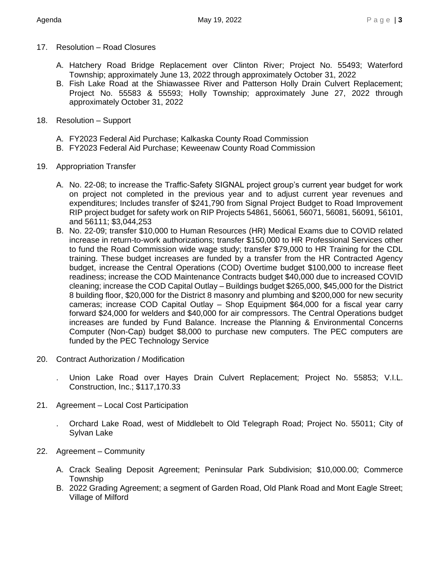## 17. Resolution – Road Closures

- A. Hatchery Road Bridge Replacement over Clinton River; Project No. 55493; Waterford Township; approximately June 13, 2022 through approximately October 31, 2022
- B. Fish Lake Road at the Shiawassee River and Patterson Holly Drain Culvert Replacement; Project No. 55583 & 55593; Holly Township; approximately June 27, 2022 through approximately October 31, 2022
- 18. Resolution Support
	- A. FY2023 Federal Aid Purchase; Kalkaska County Road Commission
	- B. FY2023 Federal Aid Purchase; Keweenaw County Road Commission
- 19. Appropriation Transfer
	- A. No. 22-08; to increase the Traffic-Safety SIGNAL project group's current year budget for work on project not completed in the previous year and to adjust current year revenues and expenditures; Includes transfer of \$241,790 from Signal Project Budget to Road Improvement RIP project budget for safety work on RIP Projects 54861, 56061, 56071, 56081, 56091, 56101, and 56111; \$3,044,253
	- B. No. 22-09; transfer \$10,000 to Human Resources (HR) Medical Exams due to COVID related increase in return-to-work authorizations; transfer \$150,000 to HR Professional Services other to fund the Road Commission wide wage study; transfer \$79,000 to HR Training for the CDL training. These budget increases are funded by a transfer from the HR Contracted Agency budget, increase the Central Operations (COD) Overtime budget \$100,000 to increase fleet readiness; increase the COD Maintenance Contracts budget \$40,000 due to increased COVID cleaning; increase the COD Capital Outlay – Buildings budget \$265,000, \$45,000 for the District 8 building floor, \$20,000 for the District 8 masonry and plumbing and \$200,000 for new security cameras; increase COD Capital Outlay – Shop Equipment \$64,000 for a fiscal year carry forward \$24,000 for welders and \$40,000 for air compressors. The Central Operations budget increases are funded by Fund Balance. Increase the Planning & Environmental Concerns Computer (Non-Cap) budget \$8,000 to purchase new computers. The PEC computers are funded by the PEC Technology Service
- 20. Contract Authorization / Modification
	- . Union Lake Road over Hayes Drain Culvert Replacement; Project No. 55853; V.I.L. Construction, Inc.; \$117,170.33
- 21. Agreement Local Cost Participation
	- . Orchard Lake Road, west of Middlebelt to Old Telegraph Road; Project No. 55011; City of Sylvan Lake
- 22. Agreement Community
	- A. Crack Sealing Deposit Agreement; Peninsular Park Subdivision; \$10,000.00; Commerce **Township**
	- B. 2022 Grading Agreement; a segment of Garden Road, Old Plank Road and Mont Eagle Street; Village of Milford